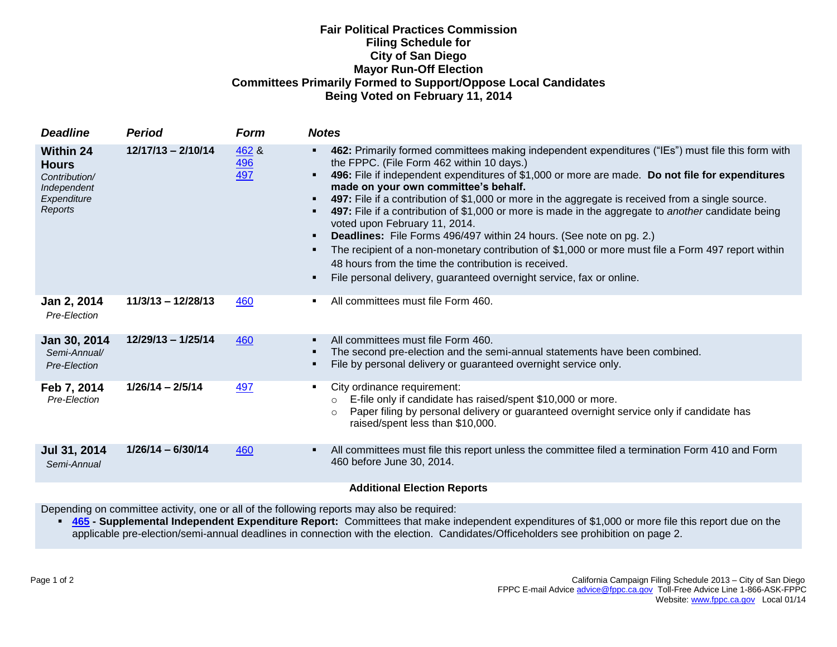## **Fair Political Practices Commission Filing Schedule for City of San Diego Mayor Run-Off Election Committees Primarily Formed to Support/Oppose Local Candidates Being Voted on February 11, 2014**

| <b>Deadline</b>                                                                            | <b>Period</b>        | <b>Form</b>                | <b>Notes</b>                                                                                                                                                                                                                                                                                                                                                                                                                                                                                                                                                                                                                                                                                                                                                                                                                                                                                              |
|--------------------------------------------------------------------------------------------|----------------------|----------------------------|-----------------------------------------------------------------------------------------------------------------------------------------------------------------------------------------------------------------------------------------------------------------------------------------------------------------------------------------------------------------------------------------------------------------------------------------------------------------------------------------------------------------------------------------------------------------------------------------------------------------------------------------------------------------------------------------------------------------------------------------------------------------------------------------------------------------------------------------------------------------------------------------------------------|
| <b>Within 24</b><br><b>Hours</b><br>Contribution/<br>Independent<br>Expenditure<br>Reports | $12/17/13 - 2/10/14$ | 462 &<br><u>496</u><br>497 | 462: Primarily formed committees making independent expenditures ("IEs") must file this form with<br>٠<br>the FPPC. (File Form 462 within 10 days.)<br>496: File if independent expenditures of \$1,000 or more are made. Do not file for expenditures<br>$\blacksquare$<br>made on your own committee's behalf.<br>497: File if a contribution of \$1,000 or more in the aggregate is received from a single source.<br>٠<br>497: File if a contribution of \$1,000 or more is made in the aggregate to another candidate being<br>٠<br>voted upon February 11, 2014.<br><b>Deadlines:</b> File Forms 496/497 within 24 hours. (See note on pg. 2.)<br>٠<br>The recipient of a non-monetary contribution of \$1,000 or more must file a Form 497 report within<br>٠<br>48 hours from the time the contribution is received.<br>File personal delivery, guaranteed overnight service, fax or online.<br>٠ |
| Jan 2, 2014<br>Pre-Election                                                                | $11/3/13 - 12/28/13$ | 460                        | All committees must file Form 460.<br>$\blacksquare$                                                                                                                                                                                                                                                                                                                                                                                                                                                                                                                                                                                                                                                                                                                                                                                                                                                      |
| Jan 30, 2014<br>Semi-Annual/<br>Pre-Election                                               | $12/29/13 - 1/25/14$ | 460                        | All committees must file Form 460.<br>$\blacksquare$<br>The second pre-election and the semi-annual statements have been combined.<br>File by personal delivery or guaranteed overnight service only.<br>٠                                                                                                                                                                                                                                                                                                                                                                                                                                                                                                                                                                                                                                                                                                |
| Feb 7, 2014<br>Pre-Election                                                                | $1/26/14 - 2/5/14$   | 497                        | City ordinance requirement:<br>٠<br>E-file only if candidate has raised/spent \$10,000 or more.<br>$\circ$<br>Paper filing by personal delivery or guaranteed overnight service only if candidate has<br>$\circ$<br>raised/spent less than \$10,000.                                                                                                                                                                                                                                                                                                                                                                                                                                                                                                                                                                                                                                                      |
| Jul 31, 2014<br>Semi-Annual                                                                | $1/26/14 - 6/30/14$  | 460                        | All committees must file this report unless the committee filed a termination Form 410 and Form<br>٠<br>460 before June 30, 2014.                                                                                                                                                                                                                                                                                                                                                                                                                                                                                                                                                                                                                                                                                                                                                                         |
|                                                                                            |                      |                            | <b>Additional Election Reports</b>                                                                                                                                                                                                                                                                                                                                                                                                                                                                                                                                                                                                                                                                                                                                                                                                                                                                        |

Depending on committee activity, one or all of the following reports may also be required:

 **[465](http://www.fppc.ca.gov/forms/6-09forms/465(6-09).pdf) - Supplemental Independent Expenditure Report:** Committees that make independent expenditures of \$1,000 or more file this report due on the applicable pre-election/semi-annual deadlines in connection with the election. Candidates/Officeholders see prohibition on page 2.